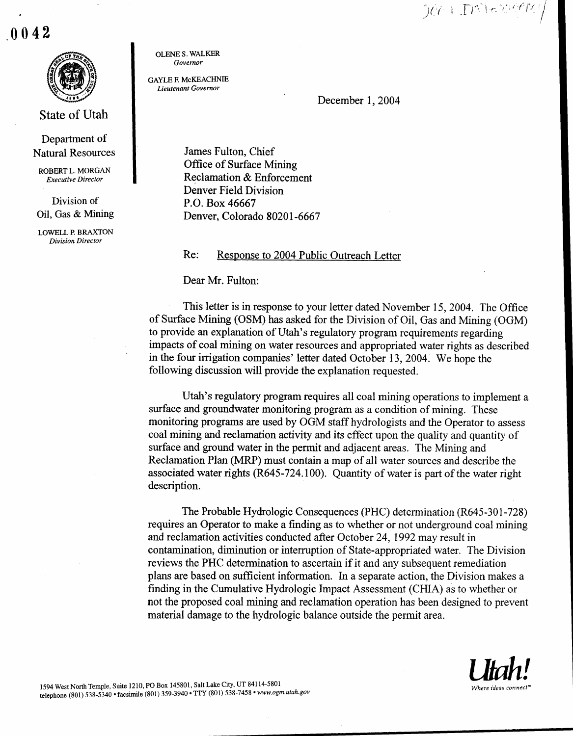DOCH IMFOGERS

.0042



State of Utah

Department of Natural Resources

ROBERT L. MORGAN Executive Director

Division of Oil, Gas & Mining

LOWELL P BRAXTON Division Director

OLENE S. WALKER Governor

GAYLE F. McKEACHNIE Lieutenant Governor

December 1, 2004

James Fulton, Chief Office of Surface Mining Reclamation & Enforcement Denver Field Division P.O. Box 46667 Denver, Colorado 80201-6667

Re: Response to 2004 Public Outreach Letter

Dear Mr. Fulton:

This letter is in response to your letter dated November 15, 2004. The Office of Surface Mining (OSM) has asked for the Division of Oil, Gas and Mining (OGM) to provide an explanation of Utah's regulatory program requirements regarding impacts of coal mining on water resources and appropriated water rights as described in the four irrigation companies' letter dated October 13, 2004 . We hope the following discussion will provide the explanation requested.

Utah's regulatory program requires all coal mining operations to implement a surface and groundwater monitoring program as a condition of mining. These monitoring programs are used by OGM staff hydrologists and the Operator to assess coal mining and reclamation activity and its effect upon the quality and quantity of surface and ground water in the permit and adjacent areas. The Mining and Reclamation Plan (MRP) must contain a map of all water sources and describe the associated water rights (R645-724.100) . Quantity of water is part of the water right description.

The Probable Hydrologic Consequences (PHC) determination (R645-301-728) requires an Operator to make a finding as to whether or not underground coal mining and reclamation activities conducted after October 24, 1992 may result in contamination, diminution or interruption of State-appropriated water. The Division reviews the PHC determination to ascertain if it and any subsequent remediation plans are based on sufficient information . In a separate action, the Division makes a finding in the Cumulative Hydrologic Impact Assessment (CHIA) as to whether or not the proposed coal mining and reclamation operation has been designed to prevent material damage to the hydrologic balance outside the permit area .

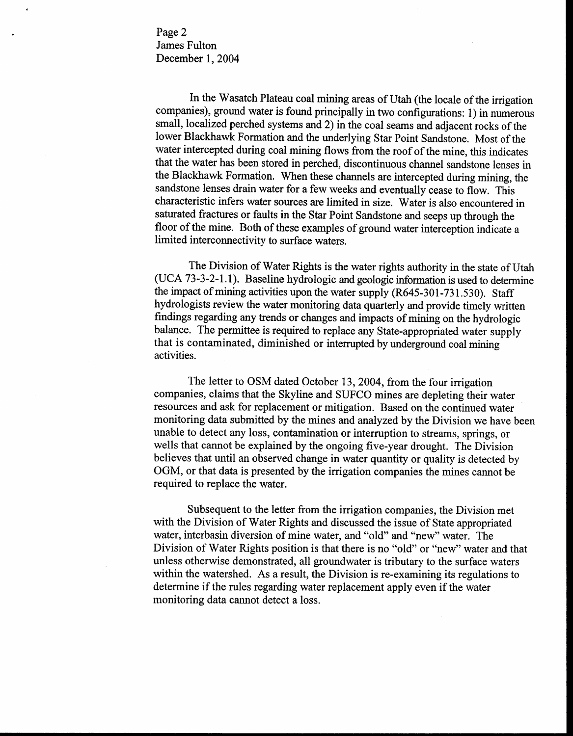Page 2 James Fulton December 1, 2004

In the Wasatch Plateau coal mining areas of Utah (the locale of the irrigation companies), ground water is found principally in two configurations: 1) in numerous small, localized perched systems and 2) in the coal seams and adjacent rocks of the lower Blackhawk Formation and the underlying Star Point Sandstone. Most of the water intercepted during coal mining flows from the roof of the mine, this indicates that the water has been stored in perched, discontinuous channel sandstone lenses in the Blackhawk Formation. When these channels are intercepted during mining, the sandstone lenses drain water for a few weeks and eventually cease to flow. This characteristic infers water sources are limited in size. Water is also encountered in saturated fractures or faults in the Star Point Sandstone and seeps up through the floor of the mine. Both of these examples of ground water interception indicate a limited interconnectivity to surface waters.

The Division of Water Rights is the water rights authority in the state of Utah (UCA 73-3-2-1 .1) . Baseline hydrologic and geologic information is used to determine the impact of mining activities upon the water supply (R645-301-731 .530) . Staff hydrologists review the water monitoring data quarterly and provide timely written findings regarding any trends or changes and impacts of mining on the hydrologic balance. The permittee is required to replace any State-appropriated water supply that is contaminated, diminished or interrupted by underground coal mining activities.

The letter to OSM dated October 13, 2004, from the four irrigation companies, claims that the Skyline and SUFCO mines are depleting their water resources and ask for replacement or mitigation . Based on the continued water monitoring data submitted by the mines and analyzed by the Division we have been unable to detect any loss, contamination or interruption to streams, springs, or wells that cannot be explained by the ongoing five-year drought. The Division believes that until an observed change in water quantity or quality is detected by OGM, or that data is presented by the irrigation companies the mines cannot be required to replace the water.

Subsequent to the letter from the irrigation companies, the Division met with the Division of Water Rights and discussed the issue of State appropriated water, interbasin diversion of mine water, and "old" and "new" water. The Division of Water Rights position is that there is no "old" or "new" water and that unless otherwise demonstrated, all groundwater is tributary to the surface waters within the watershed. As a result, the Division is re-examining its regulations to determine if the rules regarding water replacement apply even if the water monitoring data cannot detect a loss.